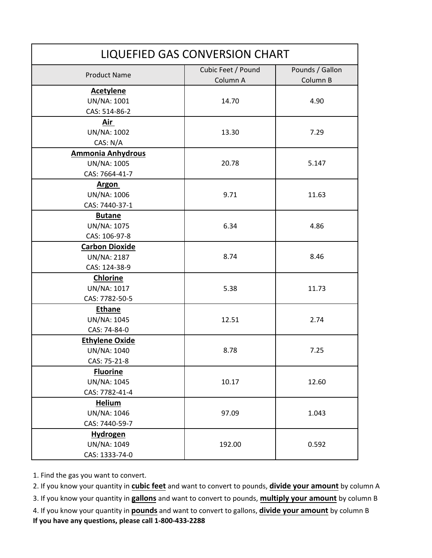| LIQUEFIED GAS CONVERSION CHART                            |                                |                             |  |
|-----------------------------------------------------------|--------------------------------|-----------------------------|--|
| <b>Product Name</b>                                       | Cubic Feet / Pound<br>Column A | Pounds / Gallon<br>Column B |  |
| <b>Acetylene</b><br>UN/NA: 1001<br>CAS: 514-86-2          | 14.70                          | 4.90                        |  |
| Air<br>UN/NA: 1002<br>CAS: N/A                            | 13.30                          | 7.29                        |  |
| <b>Ammonia Anhydrous</b><br>UN/NA: 1005<br>CAS: 7664-41-7 | 20.78                          | 5.147                       |  |
| <b>Argon</b><br>UN/NA: 1006<br>CAS: 7440-37-1             | 9.71                           | 11.63                       |  |
| <b>Butane</b><br>UN/NA: 1075<br>CAS: 106-97-8             | 6.34                           | 4.86                        |  |
| <b>Carbon Dioxide</b><br>UN/NA: 2187<br>CAS: 124-38-9     | 8.74                           | 8.46                        |  |
| <b>Chlorine</b><br>UN/NA: 1017<br>CAS: 7782-50-5          | 5.38                           | 11.73                       |  |
| <b>Ethane</b><br>UN/NA: 1045<br>CAS: 74-84-0              | 12.51                          | 2.74                        |  |
| <b>Ethylene Oxide</b><br>UN/NA: 1040<br>CAS: 75-21-8      | 8.78                           | 7.25                        |  |
| <b>Fluorine</b><br>UN/NA: 1045<br>CAS: 7782-41-4          | 10.17                          | 12.60                       |  |
| <b>Helium</b><br>UN/NA: 1046<br>CAS: 7440-59-7            | 97.09                          | 1.043                       |  |
| <b>Hydrogen</b><br>UN/NA: 1049<br>CAS: 1333-74-0          | 192.00                         | 0.592                       |  |

2. If you know your quantity in **cubic feet** and want to convert to pounds, **divide your amount** by column A

3. If you know your quantity in **gallons** and want to convert to pounds, **multiply your amount** by column B

4. If you know your quantity in **pounds** and want to convert to gallons, **divide your amount** by column B **If you have any questions, please call 1-800-433-2288**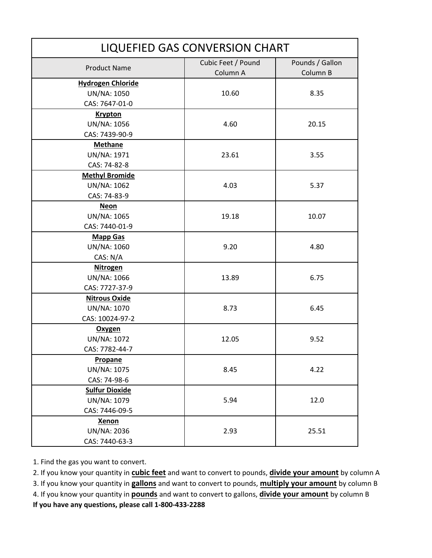| LIQUEFIED GAS CONVERSION CHART |                    |                 |  |
|--------------------------------|--------------------|-----------------|--|
|                                | Cubic Feet / Pound | Pounds / Gallon |  |
| <b>Product Name</b>            | Column A           | Column B        |  |
| <b>Hydrogen Chloride</b>       |                    |                 |  |
| UN/NA: 1050                    | 10.60              | 8.35            |  |
| CAS: 7647-01-0                 |                    |                 |  |
| <b>Krypton</b>                 |                    |                 |  |
| UN/NA: 1056                    | 4.60               | 20.15           |  |
| CAS: 7439-90-9                 |                    |                 |  |
| <b>Methane</b>                 |                    |                 |  |
| UN/NA: 1971                    | 23.61              | 3.55            |  |
| CAS: 74-82-8                   |                    |                 |  |
| <b>Methyl Bromide</b>          |                    |                 |  |
| UN/NA: 1062                    | 4.03               | 5.37            |  |
| CAS: 74-83-9                   |                    |                 |  |
| <b>Neon</b>                    |                    |                 |  |
| <b>UN/NA: 1065</b>             | 19.18              | 10.07           |  |
| CAS: 7440-01-9                 |                    |                 |  |
| <b>Mapp Gas</b>                |                    |                 |  |
| UN/NA: 1060                    | 9.20               | 4.80            |  |
| CAS: N/A                       |                    |                 |  |
| <b>Nitrogen</b>                |                    |                 |  |
| UN/NA: 1066                    | 13.89              | 6.75            |  |
| CAS: 7727-37-9                 |                    |                 |  |
| <b>Nitrous Oxide</b>           |                    |                 |  |
| UN/NA: 1070                    | 8.73               | 6.45            |  |
| CAS: 10024-97-2                |                    |                 |  |
| Oxygen                         |                    |                 |  |
| UN/NA: 1072                    | 12.05              | 9.52            |  |
| CAS: 7782-44-7                 |                    |                 |  |
| Propane                        |                    |                 |  |
| UN/NA: 1075                    | 8.45               | 4.22            |  |
| CAS: 74-98-6                   |                    |                 |  |
| <b>Sulfur Dioxide</b>          |                    |                 |  |
| UN/NA: 1079                    | 5.94               | 12.0            |  |
| CAS: 7446-09-5                 |                    |                 |  |
| <b>Xenon</b>                   |                    |                 |  |
| UN/NA: 2036                    | 2.93               | 25.51           |  |
| CAS: 7440-63-3                 |                    |                 |  |

2. If you know your quantity in **cubic feet** and want to convert to pounds, **divide your amount** by column A

3. If you know your quantity in **gallons** and want to convert to pounds, **multiply your amount** by column B

4. If you know your quantity in **pounds** and want to convert to gallons, **divide your amount** by column B

**If you have any questions, please call 1-800-433-2288**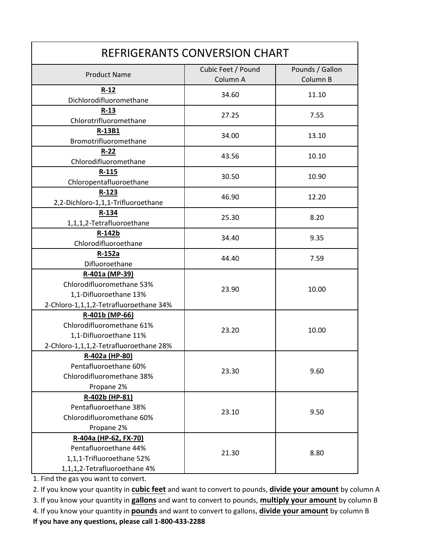| REFRIGERANTS CONVERSION CHART                                                                                   |                                |                             |  |
|-----------------------------------------------------------------------------------------------------------------|--------------------------------|-----------------------------|--|
| <b>Product Name</b>                                                                                             | Cubic Feet / Pound<br>Column A | Pounds / Gallon<br>Column B |  |
| $R-12$<br>Dichlorodifluoromethane                                                                               | 34.60                          | 11.10                       |  |
| $R-13$<br>Chlorotrifluoromethane                                                                                | 27.25                          | 7.55                        |  |
| R-13B1<br>Bromotrifluoromethane                                                                                 | 34.00                          | 13.10                       |  |
| $R - 22$<br>Chlorodifluoromethane                                                                               | 43.56                          | 10.10                       |  |
| $R - 115$<br>Chloropentafluoroethane                                                                            | 30.50                          | 10.90                       |  |
| $R-123$<br>2,2-Dichloro-1,1,1-Trifluoroethane                                                                   | 46.90                          | 12.20                       |  |
| R-134<br>1,1,1,2-Tetrafluoroethane                                                                              | 25.30                          | 8.20                        |  |
| R-142b<br>Chlorodifluoroethane                                                                                  | 34.40                          | 9.35                        |  |
| R-152a<br>Difluoroethane                                                                                        | 44.40                          | 7.59                        |  |
| R-401a (MP-39)<br>Chlorodifluoromethane 53%<br>1,1-Difluoroethane 13%<br>2-Chloro-1,1,1,2-Tetrafluoroethane 34% | 23.90                          | 10.00                       |  |
| R-401b (MP-66)<br>Chlorodifluoromethane 61%<br>1,1-Difluoroethane 11%<br>2-Chloro-1,1,1,2-Tetrafluoroethane 28% | 23.20                          | 10.00                       |  |
| R-402a (HP-80)<br>Pentafluoroethane 60%<br>Chlorodifluoromethane 38%<br>Propane 2%                              | 23.30                          | 9.60                        |  |
| R-402b (HP-81)<br>Pentafluoroethane 38%<br>Chlorodifluoromethane 60%<br>Propane 2%                              | 23.10                          | 9.50                        |  |
| R-404a (HP-62, FX-70)<br>Pentafluoroethane 44%<br>1,1,1-Trifluoroethane 52%<br>1,1,1,2-Tetrafluoroethane 4%     | 21.30                          | 8.80                        |  |

2. If you know your quantity in **cubic feet** and want to convert to pounds, **divide your amount** by column A

3. If you know your quantity in **gallons** and want to convert to pounds, **multiply your amount** by column B 4. If you know your quantity in **pounds** and want to convert to gallons, **divide your amount** by column B **If you have any questions, please call 1-800-433-2288**